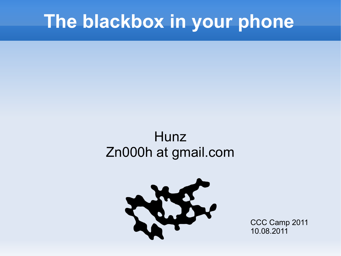#### **The blackbox in your phone**

#### **Hunz** Zn000h at gmail.com



CCC Camp 2011 10.08.2011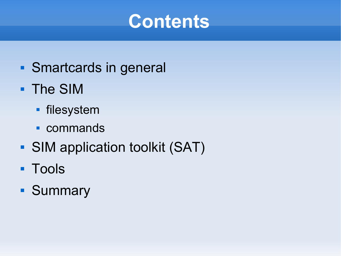#### **Contents**

- **Smartcards in general**
- The SIM
	- filesystem
	- commands
- SIM application toolkit (SAT)
- **Tools**
- **Summary**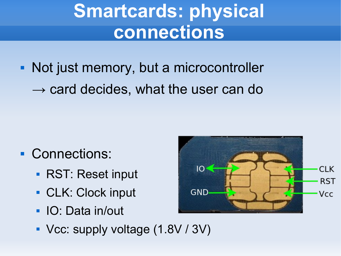# **Smartcards: physical connections**

• Not just memory, but a microcontroller  $\rightarrow$  card decides, what the user can do

- **Connections:** 
	- **RST: Reset input**
	- **CLK: Clock input**
	- IO: Data in/out
	- Vcc: supply voltage (1.8V / 3V)

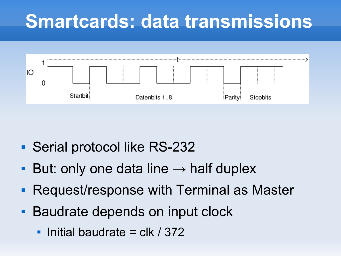### **Smartcards: data transmissions**



- Serial protocol like RS-232
- But: only one data line  $\rightarrow$  half duplex
- Request/response with Terminal as Master
- **Baudrate depends on input clock** 
	- $\mathbf{r}$ Initial baudrate  $=$  clk / 372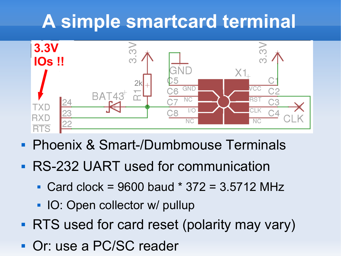# **A simple smartcard terminal**



- **Phoenix & Smart-/Dumbmouse Terminals**
- **RS-232 UART used for communication** 
	- Card clock = 9600 baud  $*$  372 = 3.5712 MHz
	- **IO: Open collector w/ pullup**
- **RTS** used for card reset (polarity may vary)
- **Or: use a PC/SC reader**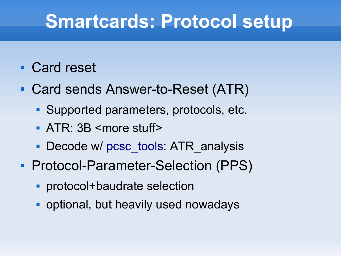#### **Smartcards: Protocol setup**

#### **Card reset**

- Card sends Answer-to-Reset (ATR)
	- Supported parameters, protocols, etc.
	- ATR: 3B <more stuff>
	- Decode w/ [pcsc\\_tools](http://ludovic.rousseau.free.fr/softwares/pcsc-tools/): ATR\_analysis
- Protocol-Parameter-Selection (PPS)
	- protocol+baudrate selection
	- **optional, but heavily used nowadays**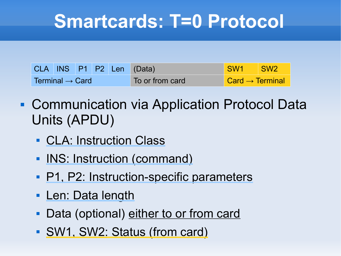### **Smartcards: T=0 Protocol**

|                             |  |  | CLA INS P1 P2 Len (Data) | SW1 SW2                                    |  |
|-----------------------------|--|--|--------------------------|--------------------------------------------|--|
| Terminal $\rightarrow$ Card |  |  | To or from card          | $\blacksquare$ Card $\rightarrow$ Terminal |  |

- Communication via Application Protocol Data Units (APDU)
	- CLA: Instruction Class
	- **INS: Instruction (command)**
	- **P1, P2: Instruction-specific parameters**
	- **Len: Data length**
	- Data (optional) either to or from card
	- SW1, SW2: Status (from card)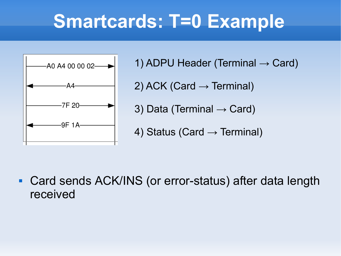### **Smartcards: T=0 Example**



- 1) ADPU Header (Terminal  $\rightarrow$  Card)
- 2) ACK (Card  $\rightarrow$  Terminal)
- 3) Data (Terminal  $\rightarrow$  Card)
- 4) Status (Card  $\rightarrow$  Terminal)

 Card sends ACK/INS (or error-status) after data length received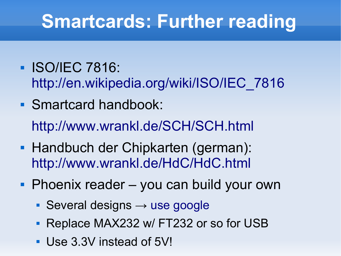# **Smartcards: Further reading**

- **ISO/IEC 7816:** [http://en.wikipedia.org/wiki/ISO/IEC\\_7816](http://en.wikipedia.org/wiki/ISO/IEC_7816)
- **Smartcard handbook:** <http://www.wrankl.de/SCH/SCH.html>
- **Handbuch der Chipkarten (german):** <http://www.wrankl.de/HdC/HdC.html>
- **Phoenix reader you can build your own** 
	- Several designs  $\rightarrow$  [use google](http://www.google.com/search?tbm=isch&q=smart+card+phoenix+schematics)
	- **Replace MAX232 w/ FT232 or so for USB**
	- Use 3.3V instead of 5V!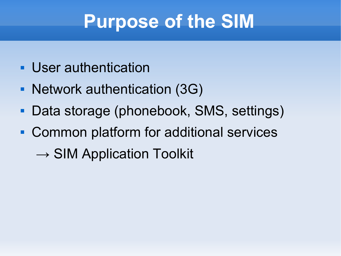## **Purpose of the SIM**

- **User authentication**
- Network authentication (3G)
- Data storage (phonebook, SMS, settings)
- Common platform for additional services
	- $\rightarrow$  SIM Application Toolkit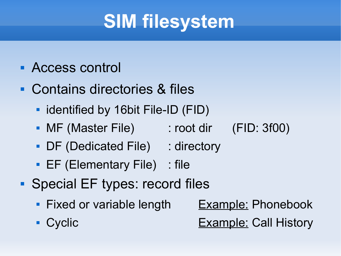# **SIM filesystem**

- Access control
- Contains directories & files
	- **I** identified by 16bit File-ID (FID)
	- MF (Master File) : root dir (FID: 3f00)
	- DF (Dedicated File) : directory
	- **EF (Elementary File)** : file
- **Special EF types: record files** 
	- Fixed or variable length Example: Phonebook
	-

**Cyclic Example: Call History**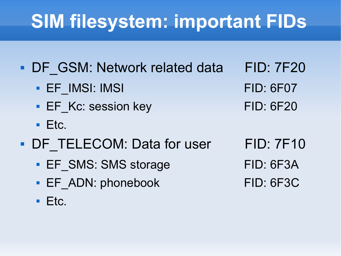# **SIM filesystem: important FIDs**

- DF GSM: Network related data FID: 7F20 EF\_IMSI: IMSI FID: 6F07 EF Kc: session key FID: 6F20
	- $E_{\text{t}}$  Etc.
- DF TELECOM: Data for user FID: 7F10
	- EF SMS: SMS storage FID: 6F3A
	- EF\_ADN: phonebook FID: 6F3C
	- $Ectc$ .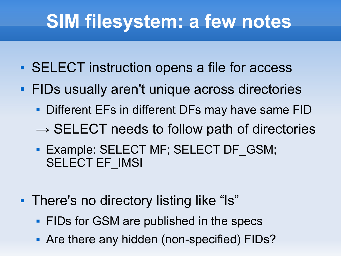## **SIM filesystem: a few notes**

- SELECT instruction opens a file for access
- **FIDs usually aren't unique across directories** 
	- **Different EFs in different DFs may have same FID**
	- $\rightarrow$  SELECT needs to follow path of directories
	- **Example: SELECT MF; SELECT DF GSM;** SELECT EF\_IMSI
- **There's no directory listing like "Is"** 
	- **FIDs for GSM are published in the specs**
	- Are there any hidden (non-specified) FIDs?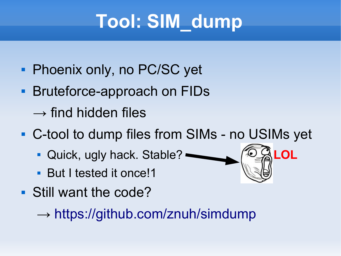# **Tool: SIM\_dump**

- **Phoenix only, no PC/SC yet**
- **Bruteforce-approach on FIDs** 
	- $\rightarrow$  find hidden files
- C-tool to dump files from SIMs no USIMs yet
	- Quick, ugly hack. Stable? **LOL**
	- **But I tested it once!1**
- Still want the code?

 $\rightarrow$  <https://github.com/znuh/simdump>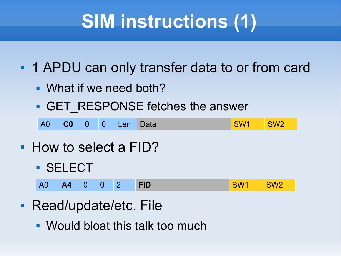# **SIM instructions (1)**

**1 APDU can only transfer data to or from card** 

- What if we need both?
- **GET\_RESPONSE fetches the answer**

| <b>A0</b> | $\overline{C}0$ | <b>NOW</b> |  | <b>O</b> Len Data |  |  | <b>SW<sub>2</sub></b> |
|-----------|-----------------|------------|--|-------------------|--|--|-----------------------|
|-----------|-----------------|------------|--|-------------------|--|--|-----------------------|

- How to select a FID?
	- **SELECT**

| A0   A4   0   0   2   FID |  |  |  |  |  | SW1 | SW2 |
|---------------------------|--|--|--|--|--|-----|-----|
|---------------------------|--|--|--|--|--|-----|-----|

- **Read/update/etc. File** 
	- Would bloat this talk too much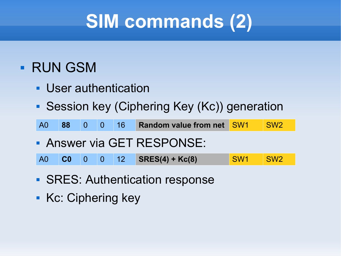# **SIM commands (2)**

#### **- RUN GSM**

- User authentication
- **Session key (Ciphering Key (Kc)) generation**

| A0 88 0 0 16 Random value from net SW1 SW2 |  |  |
|--------------------------------------------|--|--|
|--------------------------------------------|--|--|

Answer via GET RESPONSE:

|  |  |  |  |  | A0 <b>C0</b> 0 0 12 <b>SRES(4) + Kc(8)</b> | SW1 SW2 |  |
|--|--|--|--|--|--------------------------------------------|---------|--|
|--|--|--|--|--|--------------------------------------------|---------|--|

- **SRES: Authentication response**
- Kc: Ciphering key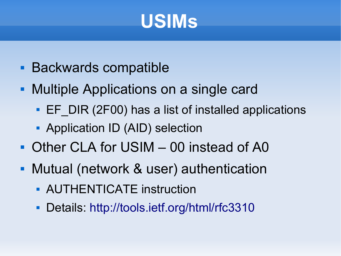## **USIMs**

- **Backwards compatible**
- **Multiple Applications on a single card** 
	- **EF** DIR (2F00) has a list of installed applications
	- **Application ID (AID) selection**
- Other CLA for USIM 00 instead of A0
- Mutual (network & user) authentication
	- **AUTHENTICATE instruction**
	- **Details: <http://tools.ietf.org/html/rfc3310>**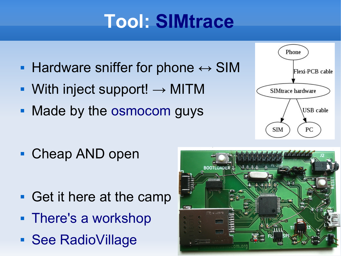# **Tool: [SIMtrace](http://bb.osmocom.org/trac/wiki/SIMtrace)**

- **Hardware sniffer for phone**  $\leftrightarrow$  **SIM**
- With inject support!  $\rightarrow$  MITM
- Made by the [osmocom](http://osmocom.org/) guys



■ Cheap AND open

- Get it here at the camp
- [There's a workshop](http://events.ccc.de/camp/2011/wiki/SIMtrace_Workshop)
- **[See RadioVillage](http://events.ccc.de/camp/2011/wiki/RadioVillage)**

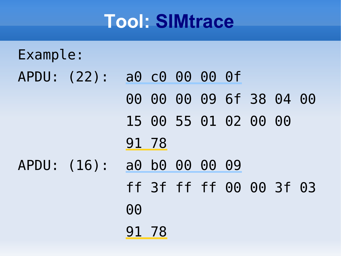### **Tool: [SIMtrace](http://bb.osmocom.org/trac/wiki/SIMtrace)**

# Example: APDU: (22): a0 c0 00 00 0f 00 00 00 09 6f 38 04 00 15 00 55 01 02 00 00 91 78 APDU: (16): a0 b0 00 00 09 ff 3f ff ff 00 00 3f 03 <u>de la componentación de la componentación de la componentación de la componentación de la componentación de l</u> 91 78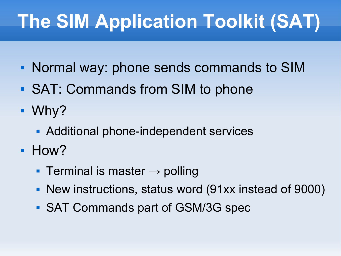# **The SIM Application Toolkit (SAT)**

- Normal way: phone sends commands to SIM
- SAT: Commands from SIM to phone
- Why?
	- **Additional phone-independent services**
- **How?** 
	- Terminal is master  $\rightarrow$  polling
	- New instructions, status word (91xx instead of 9000)
	- SAT Commands part of GSM/3G spec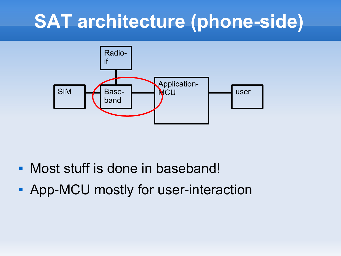## **SAT architecture (phone-side)**



- Most stuff is done in baseband!
- **App-MCU mostly for user-interaction**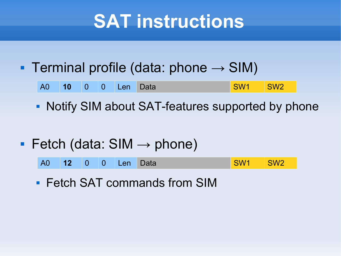## **SAT instructions**

#### Terminal profile (data: phone  $\rightarrow$  SIM)

| <b>A0</b> | $\sqrt{10}$ |  |  | 0 0 Len | Data | SW <sub>1</sub> | SW <sup>-</sup> |
|-----------|-------------|--|--|---------|------|-----------------|-----------------|
|-----------|-------------|--|--|---------|------|-----------------|-----------------|

- Notify SIM about SAT-features supported by phone
- Fetch (data:  $SIM \rightarrow phone$ )

| A0 12 0 0 Len Data<br>SW1 SW2 |
|-------------------------------|
|-------------------------------|

**Fetch SAT commands from SIM**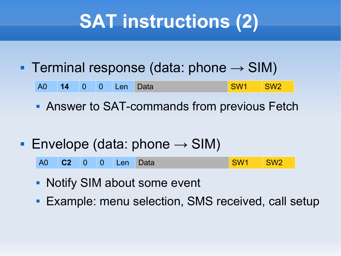# **SAT instructions (2)**

Terminal response (data: phone  $\rightarrow$  SIM)

| <b>A0</b> | 14 | $\blacksquare$ 0 |  | 0 Len Data |  |  | SW <sub>7</sub> |
|-----------|----|------------------|--|------------|--|--|-----------------|
|-----------|----|------------------|--|------------|--|--|-----------------|

- **Answer to SAT-commands from previous Fetch**
- **Envelope (data: phone**  $\rightarrow$  **SIM)**

| SW <sub>1</sub><br>SW <sub>2</sub><br>A0 C2 0 0 Len Data |  |
|----------------------------------------------------------|--|
|----------------------------------------------------------|--|

- **Notify SIM about some event**
- **Example: menu selection, SMS received, call setup**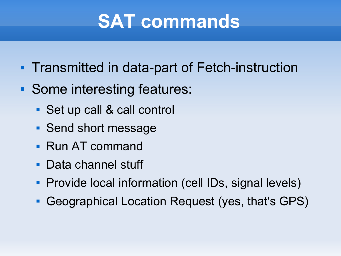## **SAT commands**

- **Transmitted in data-part of Fetch-instruction**
- Some interesting features:
	- Set up call & call control
	- Send short message
	- Run AT command
	- Data channel stuff
	- **Provide local information (cell IDs, signal levels)**
	- Geographical Location Request (yes, that's GPS)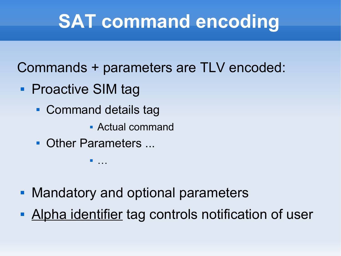# **SAT command encoding**

Commands + parameters are TLV encoded:

- Proactive SIM tag
	- **Command details tag** 
		- Actual command
	- Other Parameters ...

…

- **Mandatory and optional parameters**
- Alpha identifier tag controls notification of user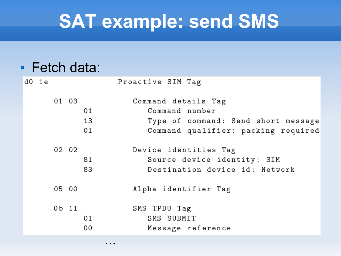#### **SAT example: send SMS**

#### **Fetch data:**

|  | d0 1e |       |    | Proactive SIM Tag                   |
|--|-------|-------|----|-------------------------------------|
|  |       | 01 03 |    | Command details Tag                 |
|  |       |       | 01 | Command number                      |
|  |       |       | 13 | Type of command: Send short message |
|  |       |       | 01 | Command qualifier: packing required |
|  |       | 02 02 |    | Device identities Tag               |
|  |       |       | 81 | Source device identity: SIM         |
|  |       |       | 83 | Destination device id: Network      |
|  |       | 05 00 |    | Alpha identifier Tag                |
|  |       | 0b 11 |    | SMS TPDU Tag                        |
|  |       |       | 01 | SMS SUBMIT                          |
|  |       |       | 00 | Message reference                   |
|  |       |       |    | .                                   |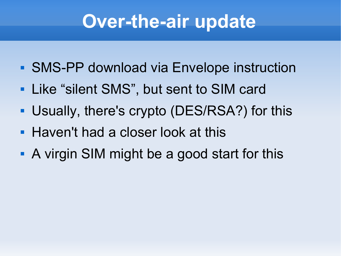## **Over-the-air update**

- **SMS-PP download via Envelope instruction**
- **Like "silent SMS", but sent to SIM card**
- Usually, there's crypto (DES/RSA?) for this
- **Haven't had a closer look at this**
- A virgin SIM might be a good start for this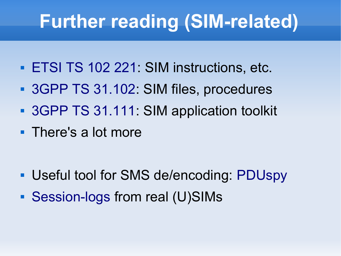## **Further reading (SIM-related)**

- **[ETSI TS 102 221](http://www.google.com/#q=ETSI+TS+102+221): SIM instructions, etc.**
- [3GPP TS 31.102](http://www.3gpp.org/ftp/Specs/html-info/31102.htm): SIM files, procedures
- **[3GPP TS 31.111](http://www.3gpp.org/ftp/Specs/html-info/31111.htm): SIM application toolkit**
- There's a lot more

- Useful tool for SMS de/encoding: [PDUspy](http://www.nobbi.com/pduspy.html)
- [Session-logs](http://www.wrankl.de/UThings/UThings.html#Train_SIM) from real (U)SIMs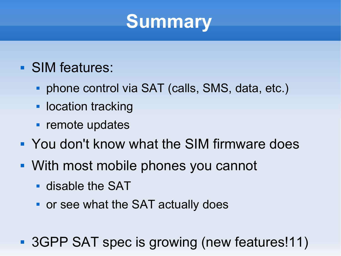### **Summary**

- SIM features:
	- phone control via SAT (calls, SMS, data, etc.)
	- **location tracking**
	- **Figure 1** remote updates
- You don't know what the SIM firmware does
- With most mobile phones you cannot
	- disable the SAT
	- **or see what the SAT actually does**
- **3GPP SAT spec is growing (new features!11)**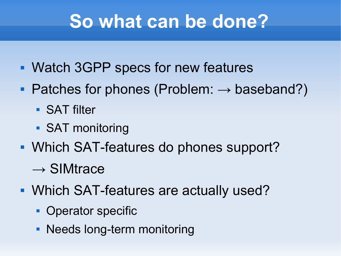### **So what can be done?**

- Watch 3GPP specs for new features
- Patches for phones (Problem:  $\rightarrow$  baseband?)
	- **SAT filter**
	- **SAT monitoring**
- **Which SAT-features do phones support?** 
	- $\rightarrow$  SIMtrace
- Which SAT-features are actually used?
	- Operator specific
	- Needs long-term monitoring